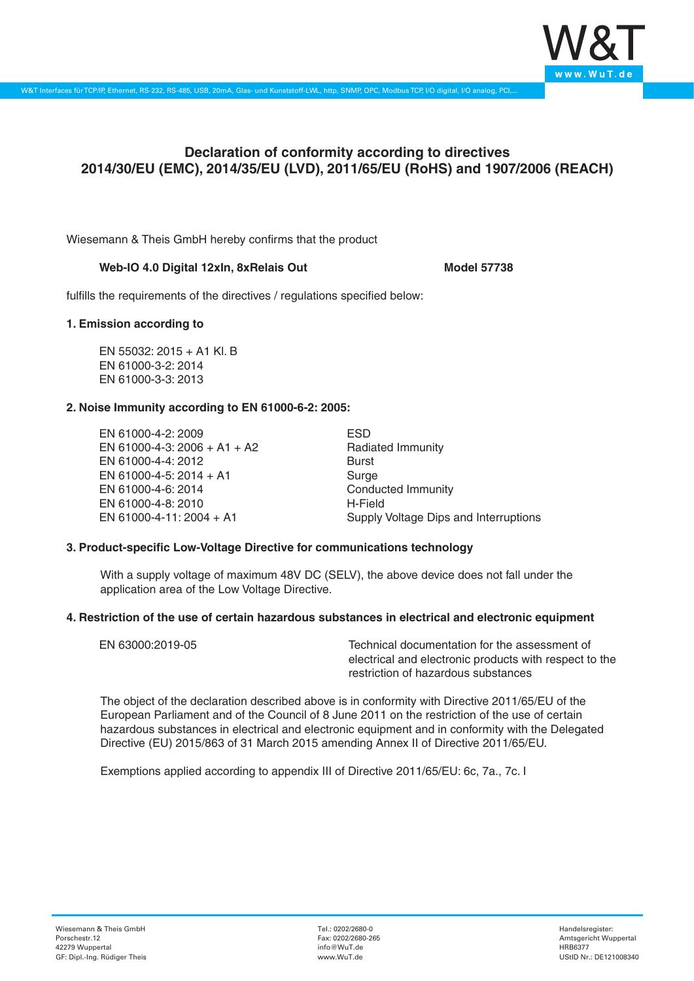

# **Declaration of conformity according to directives 2014/30/EU (EMC), 2014/35/EU (LVD), 2011/65/EU (RoHS) and 1907/2006 (REACH)**

Wiesemann & Theis GmbH hereby confirms that the product

#### Web-IO 4.0 Digital 12xIn, 8xRelais Out Model 57738

fulfills the requirements of the directives / regulations specified below:

#### **1. Emission according to**

EN 55032: 2015 + A1 Kl. B EN 61000-3-2: 2014 EN 61000-3-3: 2013

## **2. Noise Immunity according to EN 61000-6-2: 2005:**

EN 61000-4-2: 2009 EN 61000-4-3: 2006 + A1 + A2 EN 61000-4-4: 2012 EN 61000-4-5: 2014 + A1 EN 61000-4-6: 2014 EN 61000-4-8: 2010 EN 61000-4-11: 2004 + A1

ESD Radiated Immunity Burst Surge Conducted Immunity H-Field Supply Voltage Dips and Interruptions

## **3. Product-specific Low-Voltage Directive for communications technology**

With a supply voltage of maximum 48V DC (SELV), the above device does not fall under the application area of the Low Voltage Directive.

## **4. Restriction of the use of certain hazardous substances in electrical and electronic equipment**

| EN 63000:2019-05 | Technical documentation for the assessment of          |
|------------------|--------------------------------------------------------|
|                  | electrical and electronic products with respect to the |
|                  | restriction of hazardous substances                    |

The object of the declaration described above is in conformity with Directive 2011/65/EU of the European Parliament and of the Council of 8 June 2011 on the restriction of the use of certain hazardous substances in electrical and electronic equipment and in conformity with the Delegated Directive (EU) 2015/863 of 31 March 2015 amending Annex II of Directive 2011/65/EU.

Exemptions applied according to appendix III of Directive 2011/65/EU: 6c, 7a., 7c. I